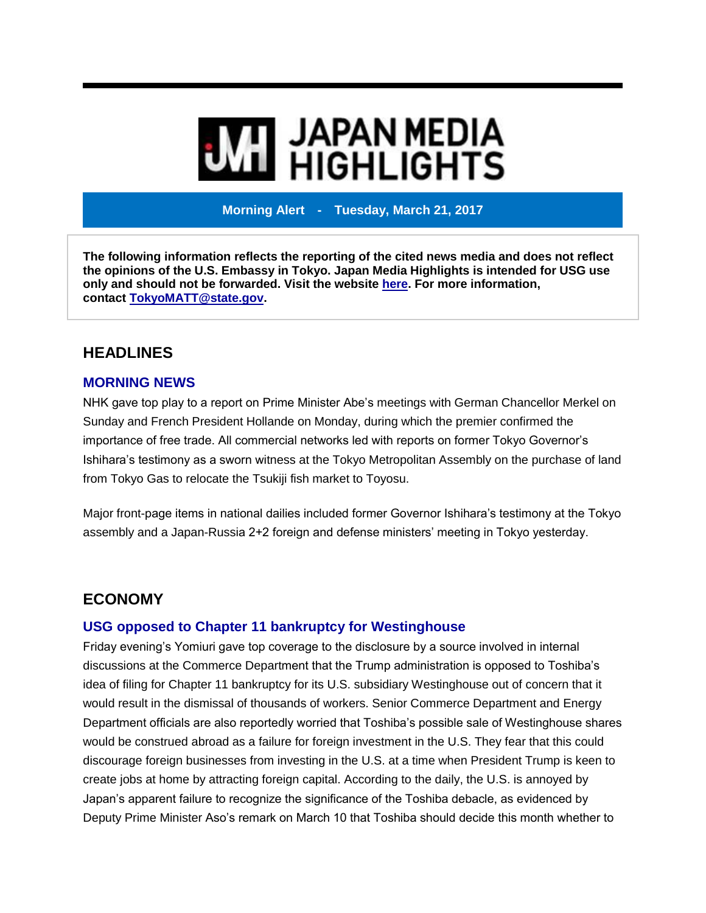# **MI** JAPAN MEDIA<br>MI HIGHLIGHTS

**Morning Alert - Tuesday, March 21, 2017**

**The following information reflects the reporting of the cited news media and does not reflect the opinions of the U.S. Embassy in Tokyo. Japan Media Highlights is intended for USG use only and should not be forwarded. Visit the website [here.](https://jmh.usembassy.gov/) For more information, contact [TokyoMATT@state.gov.](mailto:TokyoMATT@state.gov)**

### **HEADLINES**

#### **MORNING NEWS**

NHK gave top play to a report on Prime Minister Abe's meetings with German Chancellor Merkel on Sunday and French President Hollande on Monday, during which the premier confirmed the importance of free trade. All commercial networks led with reports on former Tokyo Governor's Ishihara's testimony as a sworn witness at the Tokyo Metropolitan Assembly on the purchase of land from Tokyo Gas to relocate the Tsukiji fish market to Toyosu.

Major front-page items in national dailies included former Governor Ishihara's testimony at the Tokyo assembly and a Japan-Russia 2+2 foreign and defense ministers' meeting in Tokyo yesterday.

## **ECONOMY**

#### **USG opposed to Chapter 11 bankruptcy for Westinghouse**

Friday evening's Yomiuri gave top coverage to the disclosure by a source involved in internal discussions at the Commerce Department that the Trump administration is opposed to Toshiba's idea of filing for Chapter 11 bankruptcy for its U.S. subsidiary Westinghouse out of concern that it would result in the dismissal of thousands of workers. Senior Commerce Department and Energy Department officials are also reportedly worried that Toshiba's possible sale of Westinghouse shares would be construed abroad as a failure for foreign investment in the U.S. They fear that this could discourage foreign businesses from investing in the U.S. at a time when President Trump is keen to create jobs at home by attracting foreign capital. According to the daily, the U.S. is annoyed by Japan's apparent failure to recognize the significance of the Toshiba debacle, as evidenced by Deputy Prime Minister Aso's remark on March 10 that Toshiba should decide this month whether to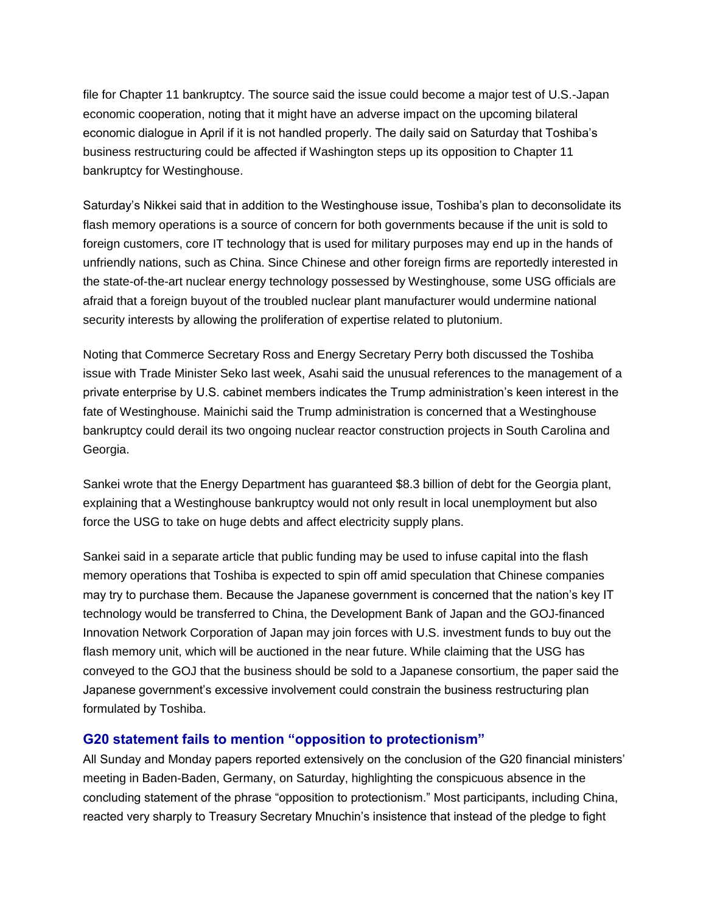file for Chapter 11 bankruptcy. The source said the issue could become a major test of U.S.-Japan economic cooperation, noting that it might have an adverse impact on the upcoming bilateral economic dialogue in April if it is not handled properly. The daily said on Saturday that Toshiba's business restructuring could be affected if Washington steps up its opposition to Chapter 11 bankruptcy for Westinghouse.

Saturday's Nikkei said that in addition to the Westinghouse issue, Toshiba's plan to deconsolidate its flash memory operations is a source of concern for both governments because if the unit is sold to foreign customers, core IT technology that is used for military purposes may end up in the hands of unfriendly nations, such as China. Since Chinese and other foreign firms are reportedly interested in the state-of-the-art nuclear energy technology possessed by Westinghouse, some USG officials are afraid that a foreign buyout of the troubled nuclear plant manufacturer would undermine national security interests by allowing the proliferation of expertise related to plutonium.

Noting that Commerce Secretary Ross and Energy Secretary Perry both discussed the Toshiba issue with Trade Minister Seko last week, Asahi said the unusual references to the management of a private enterprise by U.S. cabinet members indicates the Trump administration's keen interest in the fate of Westinghouse. Mainichi said the Trump administration is concerned that a Westinghouse bankruptcy could derail its two ongoing nuclear reactor construction projects in South Carolina and Georgia.

Sankei wrote that the Energy Department has guaranteed \$8.3 billion of debt for the Georgia plant, explaining that a Westinghouse bankruptcy would not only result in local unemployment but also force the USG to take on huge debts and affect electricity supply plans.

Sankei said in a separate article that public funding may be used to infuse capital into the flash memory operations that Toshiba is expected to spin off amid speculation that Chinese companies may try to purchase them. Because the Japanese government is concerned that the nation's key IT technology would be transferred to China, the Development Bank of Japan and the GOJ-financed Innovation Network Corporation of Japan may join forces with U.S. investment funds to buy out the flash memory unit, which will be auctioned in the near future. While claiming that the USG has conveyed to the GOJ that the business should be sold to a Japanese consortium, the paper said the Japanese government's excessive involvement could constrain the business restructuring plan formulated by Toshiba.

#### **G20 statement fails to mention "opposition to protectionism"**

All Sunday and Monday papers reported extensively on the conclusion of the G20 financial ministers' meeting in Baden-Baden, Germany, on Saturday, highlighting the conspicuous absence in the concluding statement of the phrase "opposition to protectionism." Most participants, including China, reacted very sharply to Treasury Secretary Mnuchin's insistence that instead of the pledge to fight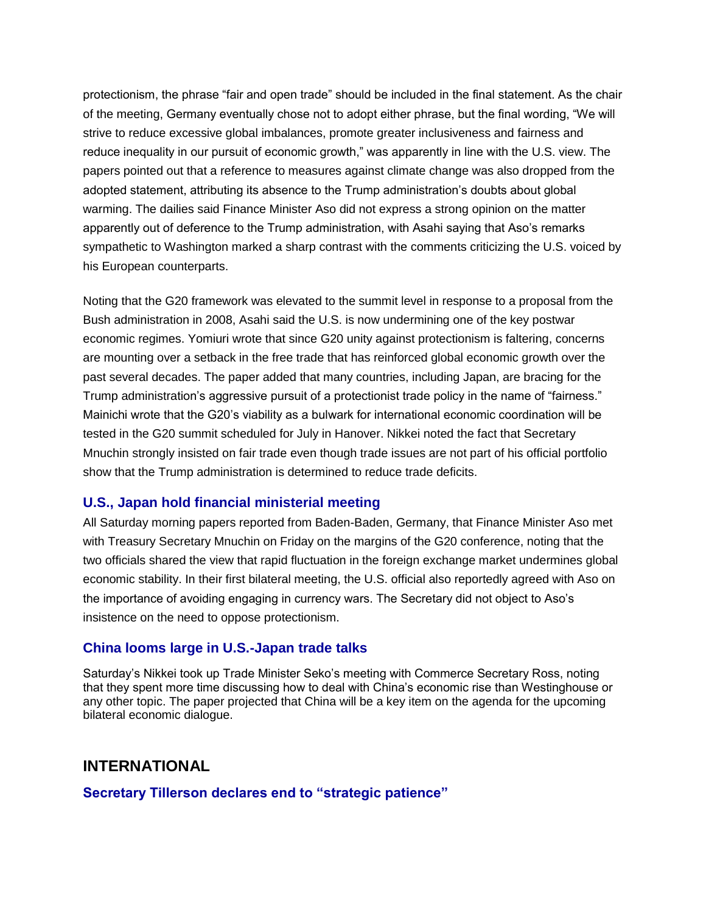protectionism, the phrase "fair and open trade" should be included in the final statement. As the chair of the meeting, Germany eventually chose not to adopt either phrase, but the final wording, "We will strive to reduce excessive global imbalances, promote greater inclusiveness and fairness and reduce inequality in our pursuit of economic growth," was apparently in line with the U.S. view. The papers pointed out that a reference to measures against climate change was also dropped from the adopted statement, attributing its absence to the Trump administration's doubts about global warming. The dailies said Finance Minister Aso did not express a strong opinion on the matter apparently out of deference to the Trump administration, with Asahi saying that Aso's remarks sympathetic to Washington marked a sharp contrast with the comments criticizing the U.S. voiced by his European counterparts.

Noting that the G20 framework was elevated to the summit level in response to a proposal from the Bush administration in 2008, Asahi said the U.S. is now undermining one of the key postwar economic regimes. Yomiuri wrote that since G20 unity against protectionism is faltering, concerns are mounting over a setback in the free trade that has reinforced global economic growth over the past several decades. The paper added that many countries, including Japan, are bracing for the Trump administration's aggressive pursuit of a protectionist trade policy in the name of "fairness." Mainichi wrote that the G20's viability as a bulwark for international economic coordination will be tested in the G20 summit scheduled for July in Hanover. Nikkei noted the fact that Secretary Mnuchin strongly insisted on fair trade even though trade issues are not part of his official portfolio show that the Trump administration is determined to reduce trade deficits.

#### **U.S., Japan hold financial ministerial meeting**

All Saturday morning papers reported from Baden-Baden, Germany, that Finance Minister Aso met with Treasury Secretary Mnuchin on Friday on the margins of the G20 conference, noting that the two officials shared the view that rapid fluctuation in the foreign exchange market undermines global economic stability. In their first bilateral meeting, the U.S. official also reportedly agreed with Aso on the importance of avoiding engaging in currency wars. The Secretary did not object to Aso's insistence on the need to oppose protectionism.

#### **China looms large in U.S.-Japan trade talks**

Saturday's Nikkei took up Trade Minister Seko's meeting with Commerce Secretary Ross, noting that they spent more time discussing how to deal with China's economic rise than Westinghouse or any other topic. The paper projected that China will be a key item on the agenda for the upcoming bilateral economic dialogue.

# **INTERNATIONAL**

**Secretary Tillerson declares end to "strategic patience"**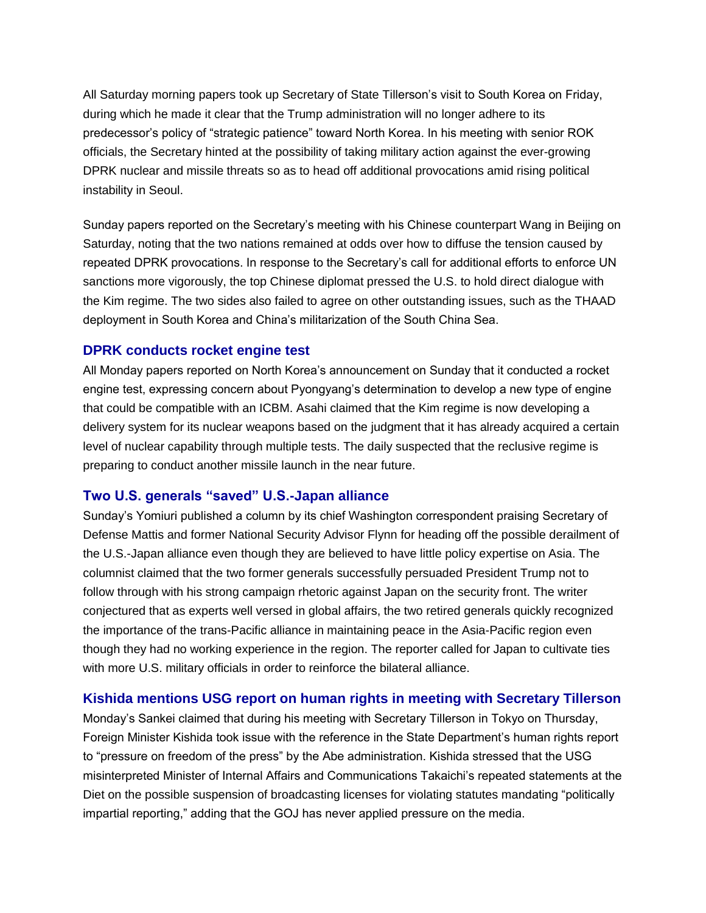All Saturday morning papers took up Secretary of State Tillerson's visit to South Korea on Friday, during which he made it clear that the Trump administration will no longer adhere to its predecessor's policy of "strategic patience" toward North Korea. In his meeting with senior ROK officials, the Secretary hinted at the possibility of taking military action against the ever-growing DPRK nuclear and missile threats so as to head off additional provocations amid rising political instability in Seoul.

Sunday papers reported on the Secretary's meeting with his Chinese counterpart Wang in Beijing on Saturday, noting that the two nations remained at odds over how to diffuse the tension caused by repeated DPRK provocations. In response to the Secretary's call for additional efforts to enforce UN sanctions more vigorously, the top Chinese diplomat pressed the U.S. to hold direct dialogue with the Kim regime. The two sides also failed to agree on other outstanding issues, such as the THAAD deployment in South Korea and China's militarization of the South China Sea.

#### **DPRK conducts rocket engine test**

All Monday papers reported on North Korea's announcement on Sunday that it conducted a rocket engine test, expressing concern about Pyongyang's determination to develop a new type of engine that could be compatible with an ICBM. Asahi claimed that the Kim regime is now developing a delivery system for its nuclear weapons based on the judgment that it has already acquired a certain level of nuclear capability through multiple tests. The daily suspected that the reclusive regime is preparing to conduct another missile launch in the near future.

#### **Two U.S. generals "saved" U.S.-Japan alliance**

Sunday's Yomiuri published a column by its chief Washington correspondent praising Secretary of Defense Mattis and former National Security Advisor Flynn for heading off the possible derailment of the U.S.-Japan alliance even though they are believed to have little policy expertise on Asia. The columnist claimed that the two former generals successfully persuaded President Trump not to follow through with his strong campaign rhetoric against Japan on the security front. The writer conjectured that as experts well versed in global affairs, the two retired generals quickly recognized the importance of the trans-Pacific alliance in maintaining peace in the Asia-Pacific region even though they had no working experience in the region. The reporter called for Japan to cultivate ties with more U.S. military officials in order to reinforce the bilateral alliance.

#### **Kishida mentions USG report on human rights in meeting with Secretary Tillerson**

Monday's Sankei claimed that during his meeting with Secretary Tillerson in Tokyo on Thursday, Foreign Minister Kishida took issue with the reference in the State Department's human rights report to "pressure on freedom of the press" by the Abe administration. Kishida stressed that the USG misinterpreted Minister of Internal Affairs and Communications Takaichi's repeated statements at the Diet on the possible suspension of broadcasting licenses for violating statutes mandating "politically impartial reporting," adding that the GOJ has never applied pressure on the media.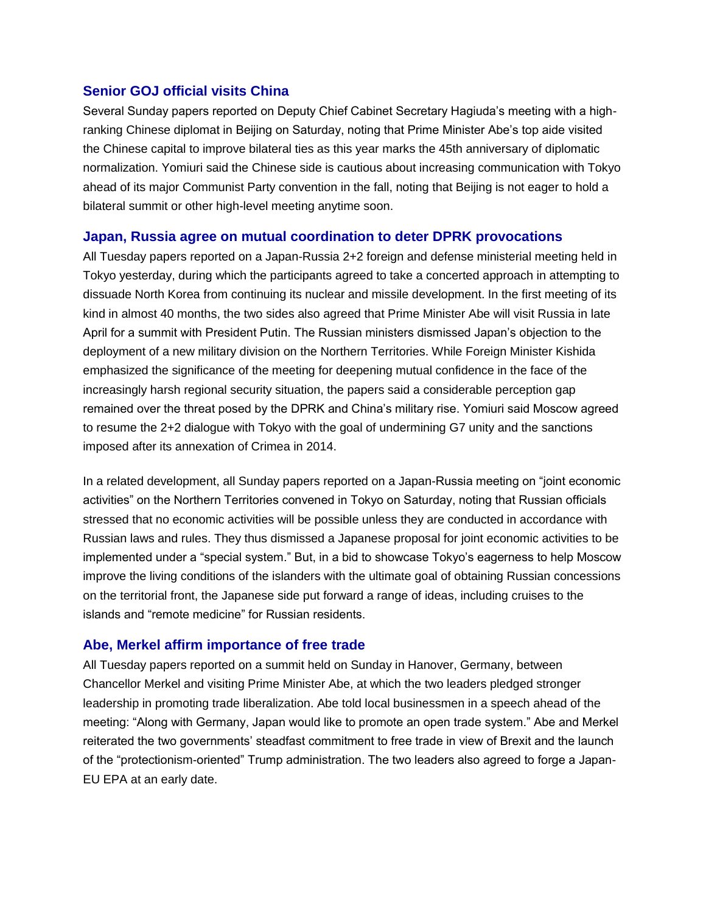#### **Senior GOJ official visits China**

Several Sunday papers reported on Deputy Chief Cabinet Secretary Hagiuda's meeting with a highranking Chinese diplomat in Beijing on Saturday, noting that Prime Minister Abe's top aide visited the Chinese capital to improve bilateral ties as this year marks the 45th anniversary of diplomatic normalization. Yomiuri said the Chinese side is cautious about increasing communication with Tokyo ahead of its major Communist Party convention in the fall, noting that Beijing is not eager to hold a bilateral summit or other high-level meeting anytime soon.

#### **Japan, Russia agree on mutual coordination to deter DPRK provocations**

All Tuesday papers reported on a Japan-Russia 2+2 foreign and defense ministerial meeting held in Tokyo yesterday, during which the participants agreed to take a concerted approach in attempting to dissuade North Korea from continuing its nuclear and missile development. In the first meeting of its kind in almost 40 months, the two sides also agreed that Prime Minister Abe will visit Russia in late April for a summit with President Putin. The Russian ministers dismissed Japan's objection to the deployment of a new military division on the Northern Territories. While Foreign Minister Kishida emphasized the significance of the meeting for deepening mutual confidence in the face of the increasingly harsh regional security situation, the papers said a considerable perception gap remained over the threat posed by the DPRK and China's military rise. Yomiuri said Moscow agreed to resume the 2+2 dialogue with Tokyo with the goal of undermining G7 unity and the sanctions imposed after its annexation of Crimea in 2014.

In a related development, all Sunday papers reported on a Japan-Russia meeting on "joint economic activities" on the Northern Territories convened in Tokyo on Saturday, noting that Russian officials stressed that no economic activities will be possible unless they are conducted in accordance with Russian laws and rules. They thus dismissed a Japanese proposal for joint economic activities to be implemented under a "special system." But, in a bid to showcase Tokyo's eagerness to help Moscow improve the living conditions of the islanders with the ultimate goal of obtaining Russian concessions on the territorial front, the Japanese side put forward a range of ideas, including cruises to the islands and "remote medicine" for Russian residents.

#### **Abe, Merkel affirm importance of free trade**

All Tuesday papers reported on a summit held on Sunday in Hanover, Germany, between Chancellor Merkel and visiting Prime Minister Abe, at which the two leaders pledged stronger leadership in promoting trade liberalization. Abe told local businessmen in a speech ahead of the meeting: "Along with Germany, Japan would like to promote an open trade system." Abe and Merkel reiterated the two governments' steadfast commitment to free trade in view of Brexit and the launch of the "protectionism-oriented" Trump administration. The two leaders also agreed to forge a Japan-EU EPA at an early date.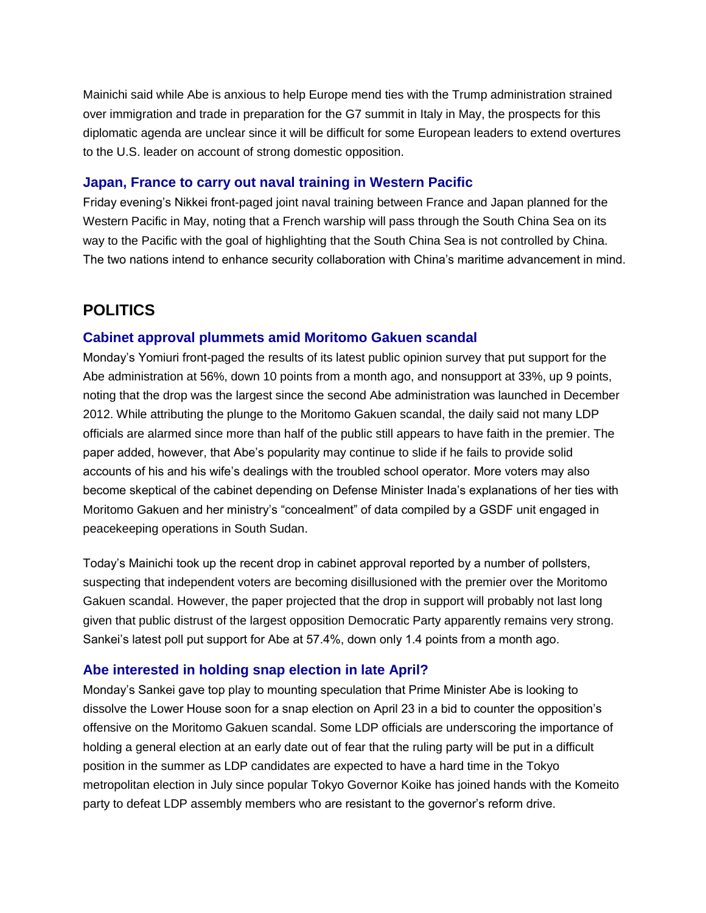Mainichi said while Abe is anxious to help Europe mend ties with the Trump administration strained over immigration and trade in preparation for the G7 summit in Italy in May, the prospects for this diplomatic agenda are unclear since it will be difficult for some European leaders to extend overtures to the U.S. leader on account of strong domestic opposition.

#### **Japan, France to carry out naval training in Western Pacific**

Friday evening's Nikkei front-paged joint naval training between France and Japan planned for the Western Pacific in May, noting that a French warship will pass through the South China Sea on its way to the Pacific with the goal of highlighting that the South China Sea is not controlled by China. The two nations intend to enhance security collaboration with China's maritime advancement in mind.

# **POLITICS**

#### **Cabinet approval plummets amid Moritomo Gakuen scandal**

Monday's Yomiuri front-paged the results of its latest public opinion survey that put support for the Abe administration at 56%, down 10 points from a month ago, and nonsupport at 33%, up 9 points, noting that the drop was the largest since the second Abe administration was launched in December 2012. While attributing the plunge to the Moritomo Gakuen scandal, the daily said not many LDP officials are alarmed since more than half of the public still appears to have faith in the premier. The paper added, however, that Abe's popularity may continue to slide if he fails to provide solid accounts of his and his wife's dealings with the troubled school operator. More voters may also become skeptical of the cabinet depending on Defense Minister Inada's explanations of her ties with Moritomo Gakuen and her ministry's "concealment" of data compiled by a GSDF unit engaged in peacekeeping operations in South Sudan.

Today's Mainichi took up the recent drop in cabinet approval reported by a number of pollsters, suspecting that independent voters are becoming disillusioned with the premier over the Moritomo Gakuen scandal. However, the paper projected that the drop in support will probably not last long given that public distrust of the largest opposition Democratic Party apparently remains very strong. Sankei's latest poll put support for Abe at 57.4%, down only 1.4 points from a month ago.

#### **Abe interested in holding snap election in late April?**

Monday's Sankei gave top play to mounting speculation that Prime Minister Abe is looking to dissolve the Lower House soon for a snap election on April 23 in a bid to counter the opposition's offensive on the Moritomo Gakuen scandal. Some LDP officials are underscoring the importance of holding a general election at an early date out of fear that the ruling party will be put in a difficult position in the summer as LDP candidates are expected to have a hard time in the Tokyo metropolitan election in July since popular Tokyo Governor Koike has joined hands with the Komeito party to defeat LDP assembly members who are resistant to the governor's reform drive.